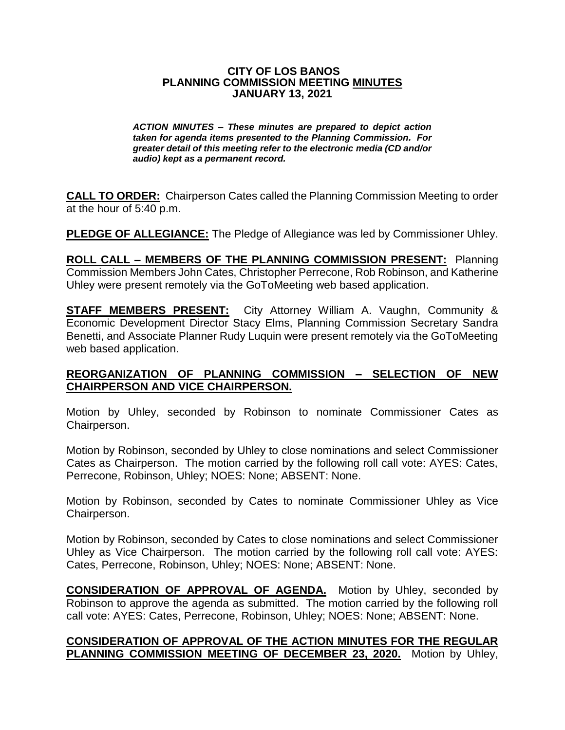#### **CITY OF LOS BANOS PLANNING COMMISSION MEETING MINUTES JANUARY 13, 2021**

*ACTION MINUTES – These minutes are prepared to depict action taken for agenda items presented to the Planning Commission. For greater detail of this meeting refer to the electronic media (CD and/or audio) kept as a permanent record.*

**CALL TO ORDER:** Chairperson Cates called the Planning Commission Meeting to order at the hour of 5:40 p.m.

**PLEDGE OF ALLEGIANCE:** The Pledge of Allegiance was led by Commissioner Uhley.

**ROLL CALL – MEMBERS OF THE PLANNING COMMISSION PRESENT:** Planning Commission Members John Cates, Christopher Perrecone, Rob Robinson, and Katherine Uhley were present remotely via the GoToMeeting web based application.

**STAFF MEMBERS PRESENT:** City Attorney William A. Vaughn, Community & Economic Development Director Stacy Elms, Planning Commission Secretary Sandra Benetti, and Associate Planner Rudy Luquin were present remotely via the GoToMeeting web based application.

#### **REORGANIZATION OF PLANNING COMMISSION – SELECTION OF NEW CHAIRPERSON AND VICE CHAIRPERSON.**

Motion by Uhley, seconded by Robinson to nominate Commissioner Cates as Chairperson.

Motion by Robinson, seconded by Uhley to close nominations and select Commissioner Cates as Chairperson. The motion carried by the following roll call vote: AYES: Cates, Perrecone, Robinson, Uhley; NOES: None; ABSENT: None.

Motion by Robinson, seconded by Cates to nominate Commissioner Uhley as Vice Chairperson.

Motion by Robinson, seconded by Cates to close nominations and select Commissioner Uhley as Vice Chairperson. The motion carried by the following roll call vote: AYES: Cates, Perrecone, Robinson, Uhley; NOES: None; ABSENT: None.

**CONSIDERATION OF APPROVAL OF AGENDA.** Motion by Uhley, seconded by Robinson to approve the agenda as submitted. The motion carried by the following roll call vote: AYES: Cates, Perrecone, Robinson, Uhley; NOES: None; ABSENT: None.

#### **CONSIDERATION OF APPROVAL OF THE ACTION MINUTES FOR THE REGULAR PLANNING COMMISSION MEETING OF DECEMBER 23, 2020.** Motion by Uhley,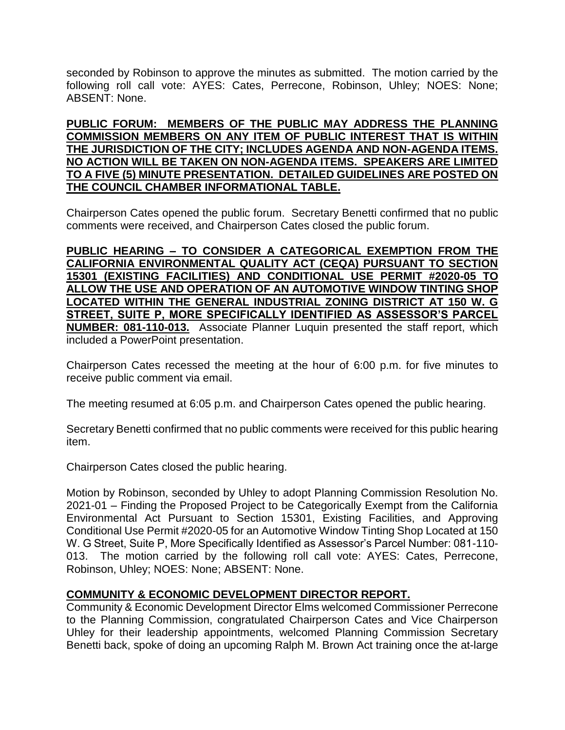seconded by Robinson to approve the minutes as submitted. The motion carried by the following roll call vote: AYES: Cates, Perrecone, Robinson, Uhley; NOES: None; ABSENT: None.

**PUBLIC FORUM: MEMBERS OF THE PUBLIC MAY ADDRESS THE PLANNING COMMISSION MEMBERS ON ANY ITEM OF PUBLIC INTEREST THAT IS WITHIN THE JURISDICTION OF THE CITY; INCLUDES AGENDA AND NON-AGENDA ITEMS. NO ACTION WILL BE TAKEN ON NON-AGENDA ITEMS. SPEAKERS ARE LIMITED TO A FIVE (5) MINUTE PRESENTATION. DETAILED GUIDELINES ARE POSTED ON THE COUNCIL CHAMBER INFORMATIONAL TABLE.**

Chairperson Cates opened the public forum. Secretary Benetti confirmed that no public comments were received, and Chairperson Cates closed the public forum.

**PUBLIC HEARING – TO CONSIDER A CATEGORICAL EXEMPTION FROM THE CALIFORNIA ENVIRONMENTAL QUALITY ACT (CEQA) PURSUANT TO SECTION 15301 (EXISTING FACILITIES) AND CONDITIONAL USE PERMIT #2020-05 TO ALLOW THE USE AND OPERATION OF AN AUTOMOTIVE WINDOW TINTING SHOP LOCATED WITHIN THE GENERAL INDUSTRIAL ZONING DISTRICT AT 150 W. G STREET, SUITE P, MORE SPECIFICALLY IDENTIFIED AS ASSESSOR'S PARCEL NUMBER: 081-110-013.** Associate Planner Luquin presented the staff report, which included a PowerPoint presentation.

Chairperson Cates recessed the meeting at the hour of 6:00 p.m. for five minutes to receive public comment via email.

The meeting resumed at 6:05 p.m. and Chairperson Cates opened the public hearing.

Secretary Benetti confirmed that no public comments were received for this public hearing item.

Chairperson Cates closed the public hearing.

Motion by Robinson, seconded by Uhley to adopt Planning Commission Resolution No. 2021-01 – Finding the Proposed Project to be Categorically Exempt from the California Environmental Act Pursuant to Section 15301, Existing Facilities, and Approving Conditional Use Permit #2020-05 for an Automotive Window Tinting Shop Located at 150 W. G Street, Suite P, More Specifically Identified as Assessor's Parcel Number: 081-110- 013. The motion carried by the following roll call vote: AYES: Cates, Perrecone, Robinson, Uhley; NOES: None; ABSENT: None.

#### **COMMUNITY & ECONOMIC DEVELOPMENT DIRECTOR REPORT.**

Community & Economic Development Director Elms welcomed Commissioner Perrecone to the Planning Commission, congratulated Chairperson Cates and Vice Chairperson Uhley for their leadership appointments, welcomed Planning Commission Secretary Benetti back, spoke of doing an upcoming Ralph M. Brown Act training once the at-large